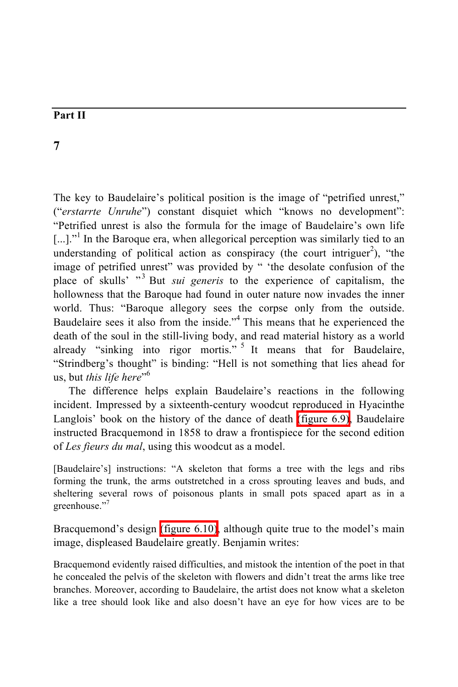# **Part II**

# **7**

The key to Baudelaire's political position is the image of "petrified unrest," ("*erstarrte Unruhe*") constant disquiet which "knows no development": "Petrified unrest is also the formula for the image of Baudelaire's own life  $\left[\ldots\right]$ ."<sup>1</sup> In the Baroque era, when allegorical perception was similarly tied to an understanding of political action as conspiracy (the court intriguer<sup>2</sup>), "the image of petrified unrest" was provided by " 'the desolate confusion of the place of skulls' " <sup>3</sup> But *sui generis* to the experience of capitalism, the hollowness that the Baroque had found in outer nature now invades the inner world. Thus: "Baroque allegory sees the corpse only from the outside. Baudelaire sees it also from the inside."<sup>4</sup> This means that he experienced the death of the soul in the still-living body, and read material history as a world already "sinking into rigor mortis."<sup>5</sup> It means that for Baudelaire, "Strindberg's thought" is binding: "Hell is not something that lies ahead for us, but *this life here*" 6

The difference helps explain Baudelaire's reactions in the following incident. Impressed by a sixteenth-century woodcut reproduced in Hyacinthe Langlois' book on the history of the dance of death [\(figure 6.9\),](http://susanbuckmorss.info/constellation/note-on-the-dialectics-of-seeing/#fig:403) Baudelaire instructed Bracquemond in 1858 to draw a frontispiece for the second edition of *Les fieurs du mal*, using this woodcut as a model.

[Baudelaire's] instructions: "A skeleton that forms a tree with the legs and ribs forming the trunk, the arms outstretched in a cross sprouting leaves and buds, and sheltering several rows of poisonous plants in small pots spaced apart as in a greenhouse."<sup>7</sup>

Bracquemond's design [\(figure 6.10\)](http://susanbuckmorss.info/constellation/note-on-the-dialectics-of-seeing/#fig:404), although quite true to the model's main image, displeased Baudelaire greatly. Benjamin writes:

Bracquemond evidently raised difficulties, and mistook the intention of the poet in that he concealed the pelvis of the skeleton with flowers and didn't treat the arms like tree branches. Moreover, according to Baudelaire, the artist does not know what a skeleton like a tree should look like and also doesn't have an eye for how vices are to be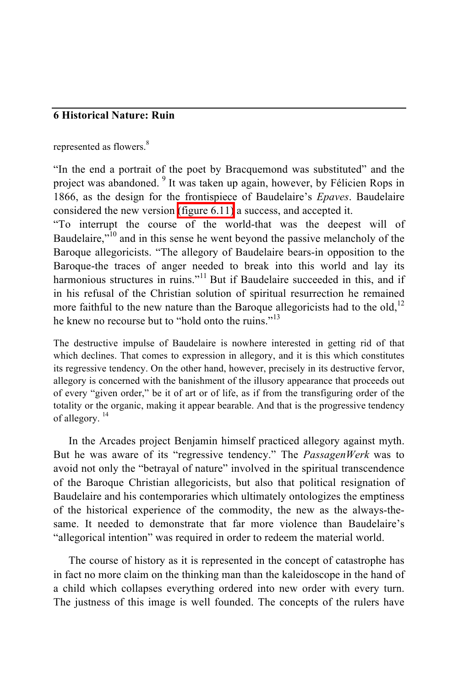### **6 Historical Nature: Ruin**

represented as flowers.<sup>8</sup>

"In the end a portrait of the poet by Bracquemond was substituted" and the project was abandoned. <sup>9</sup> It was taken up again, however, by Félicien Rops in 1866, as the design for the frontispiece of Baudelaire's *Epaves*. Baudelaire considered the new version [\(figure 6.11\)](http://susanbuckmorss.info/constellation/note-on-the-dialectics-of-seeing/#fig:405) a success, and accepted it.

"To interrupt the course of the world-that was the deepest will of Baudelaire, $\mathbf{R}^{10}$  and in this sense he went beyond the passive melancholy of the Baroque allegoricists. "The allegory of Baudelaire bears-in opposition to the Baroque-the traces of anger needed to break into this world and lay its harmonious structures in ruins."<sup>11</sup> But if Baudelaire succeeded in this, and if in his refusal of the Christian solution of spiritual resurrection he remained more faithful to the new nature than the Baroque allegoricists had to the old, $12$ he knew no recourse but to "hold onto the ruins."<sup>13</sup>

The destructive impulse of Baudelaire is nowhere interested in getting rid of that which declines. That comes to expression in allegory, and it is this which constitutes its regressive tendency. On the other hand, however, precisely in its destructive fervor, allegory is concerned with the banishment of the illusory appearance that proceeds out of every "given order," be it of art or of life, as if from the transfiguring order of the totality or the organic, making it appear bearable. And that is the progressive tendency of allegory.<sup>14</sup>

In the Arcades project Benjamin himself practiced allegory against myth. But he was aware of its "regressive tendency." The *PassagenWerk* was to avoid not only the "betrayal of nature" involved in the spiritual transcendence of the Baroque Christian allegoricists, but also that political resignation of Baudelaire and his contemporaries which ultimately ontologizes the emptiness of the historical experience of the commodity, the new as the always-thesame. It needed to demonstrate that far more violence than Baudelaire's "allegorical intention" was required in order to redeem the material world.

The course of history as it is represented in the concept of catastrophe has in fact no more claim on the thinking man than the kaleidoscope in the hand of a child which collapses everything ordered into new order with every turn. The justness of this image is well founded. The concepts of the rulers have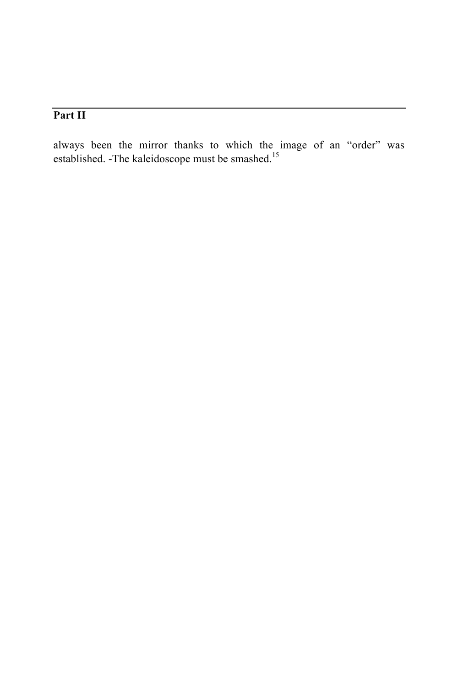# **Part II**

always been the mirror thanks to which the image of an "order" was established. -The kaleidoscope must be smashed.<sup>15</sup>